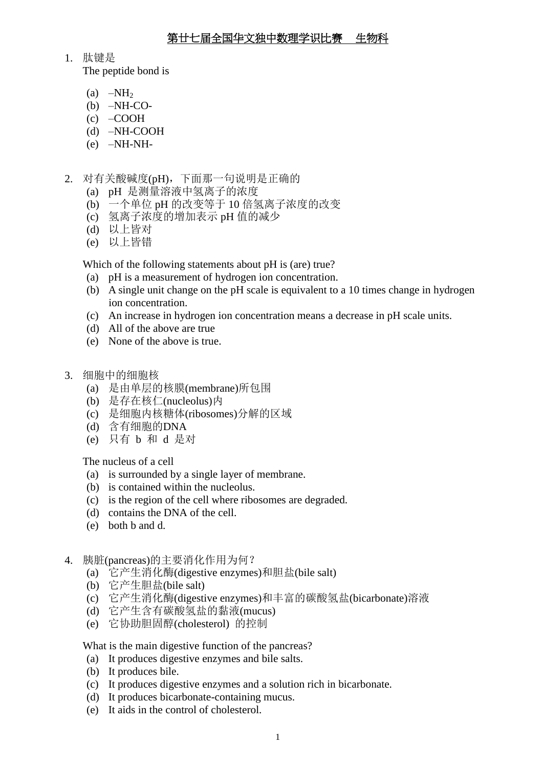1. 肽键是

The peptide bond is

- (a)  $-NH<sub>2</sub>$
- $(b)$  –NH-CO-
- (c) –COOH
- (d) –NH-COOH
- (e) –NH-NH-
- 2. 对有关酸碱度(pH),下面那一句说明是正确的
	- (a) pH 是测量溶液中氢离子的浓度
	- (b) 一个单位 pH 的改变等于 10 倍氢离子浓度的改变
	- (c) 氢离子浓度的增加表示 pH 值的减少
	- (d) 以上皆对
	- (e) 以上皆错

Which of the following statements about pH is (are) true?

- (a) pH is a measurement of hydrogen ion concentration.
- (b) A single unit change on the pH scale is equivalent to a 10 times change in hydrogen ion concentration.
- (c) An increase in hydrogen ion concentration means a decrease in pH scale units.
- (d) All of the above are true
- (e) None of the above is true.
- 3. 细胞中的细胞核
	- (a) 是由单层的核膜(membrane)所包围
	- (b) 是存在核仁(nucleolus)内
	- (c) 是细胞内核糖体(ribosomes)分解的区域
	- (d) 含有细胞的DNA
	- (e) 只有 b 和 d 是对

The nucleus of a cell

- (a) is surrounded by a single layer of membrane.
- (b) is contained within the nucleolus.
- (c) is the region of the cell where ribosomes are degraded.
- (d) contains the DNA of the cell.
- (e) both b and d.
- 4. 胰脏(pancreas)的主要消化作用为何?
	- (a) 它产生消化酶(digestive enzymes)和胆盐(bile salt)
	- (b) 它产生胆盐(bile salt)
	- (c) 它产生消化酶(digestive enzymes)和丰富的碳酸氢盐(bicarbonate)溶液
	- (d) 它产生含有碳酸氢盐的黏液(mucus)
	- (e) 它协助胆固醇(cholesterol) 的控制

What is the main digestive function of the pancreas?

- (a) It produces digestive enzymes and bile salts.
- (b) It produces bile.
- (c) It produces digestive enzymes and a solution rich in bicarbonate.
- (d) It produces bicarbonate-containing mucus.
- (e) It aids in the control of cholesterol.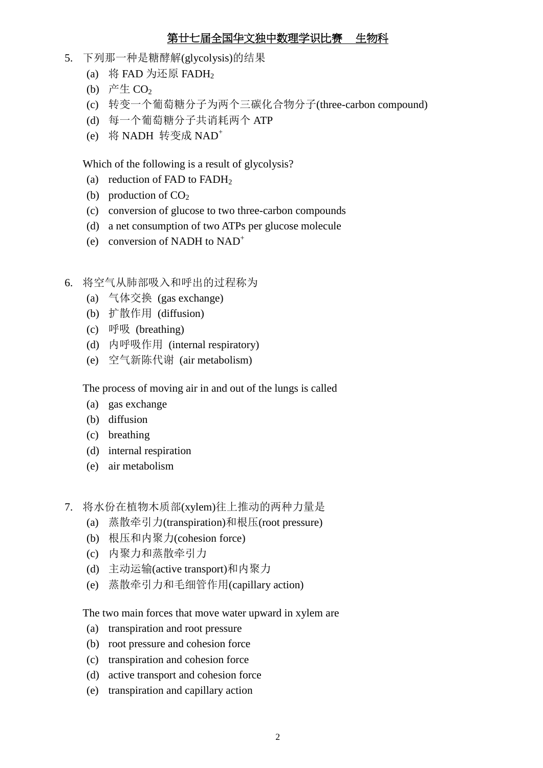- 5. 下列那一种是糖酵解(glycolysis)的结果
	- (a) 将 FAD 为还原 FADH<sub>2</sub>
	- (b) 产生 $CO<sub>2</sub>$
	- (c) 转变一个葡萄糖分子为两个三碳化合物分子(three-carbon compound)
	- (d) 每一个葡萄糖分子共诮耗两个 ATP
	- (e) 将 NADH 转变成 NAD<sup>+</sup>

Which of the following is a result of glycolysis?

- (a) reduction of FAD to FADH<sub>2</sub>
- (b) production of  $CO<sub>2</sub>$
- (c) conversion of glucose to two three-carbon compounds
- (d) a net consumption of two ATPs per glucose molecule
- (e) conversion of NADH to  $NAD^+$
- 6. 将空气从肺部吸入和呼出的过程称为
	- (a) 气体交换 (gas exchange)
	- (b) 扩散作用 (diffusion)
	- (c) 呼吸 (breathing)
	- (d) 内呼吸作用 (internal respiratory)
	- (e) 空气新陈代谢 (air metabolism)

The process of moving air in and out of the lungs is called

- (a) gas exchange
- (b) diffusion
- (c) breathing
- (d) internal respiration
- (e) air metabolism
- 7. 将水份在植物木质部(xylem)往上推动的两种力量是
	- (a) 蒸散牵引力(transpiration)和根压(root pressure)
	- (b) 根压和内聚力(cohesion force)
	- (c) 内聚力和蒸散牵引力
	- (d) 主动运输(active transport)和内聚力
	- (e) 蒸散牵引力和毛细管作用(capillary action)

The two main forces that move water upward in xylem are

- (a) transpiration and root pressure
- (b) root pressure and cohesion force
- (c) transpiration and cohesion force
- (d) active transport and cohesion force
- (e) transpiration and capillary action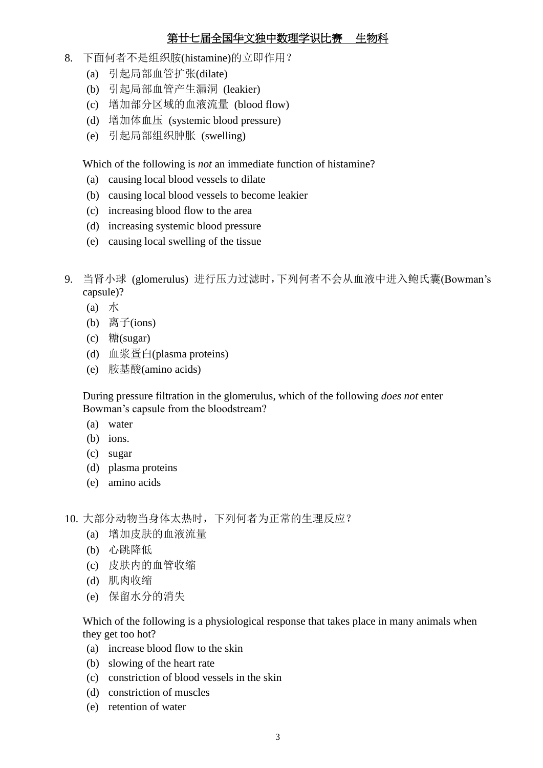- 8. 下面何者不是组织胺(histamine)的立即作用?
	- (a) 引起局部血管扩张(dilate)
	- (b) 引起局部血管产生漏洞 (leakier)
	- (c) 增加部分区域的血液流量 (blood flow)
	- (d) 增加体血压 (systemic blood pressure)
	- (e) 引起局部组织肿胀 (swelling)

Which of the following is *not* an immediate function of histamine?

- (a) causing local blood vessels to dilate
- (b) causing local blood vessels to become leakier
- (c) increasing blood flow to the area
- (d) increasing systemic blood pressure
- (e) causing local swelling of the tissue
- 9. 当肾小球 (glomerulus) 进行压力过滤时,下列何者不会从血液中进入鲍氏囊(Bowman's capsule)?
	- (a) 水
	- (b) 离子 $(ions)$
	- (c) 糖 $(sugar)$
	- (d) 血浆疍白(plasma proteins)
	- (e) 胺基酸(amino acids)

During pressure filtration in the glomerulus, which of the following *does not* enter Bowman's capsule from the bloodstream?

- (a) water
- (b) ions.
- (c) sugar
- (d) plasma proteins
- (e) amino acids
- 10. 大部分动物当身体太热时,下列何者为正常的生理反应?
	- (a) 增加皮肤的血液流量
	- (b) 心跳降低
	- (c) 皮肤内的血管收缩
	- (d) 肌肉收缩
	- (e) 保留水分的消失

Which of the following is a physiological response that takes place in many animals when they get too hot?

- (a) increase blood flow to the skin
- (b) slowing of the heart rate
- (c) constriction of blood vessels in the skin
- (d) constriction of muscles
- (e) retention of water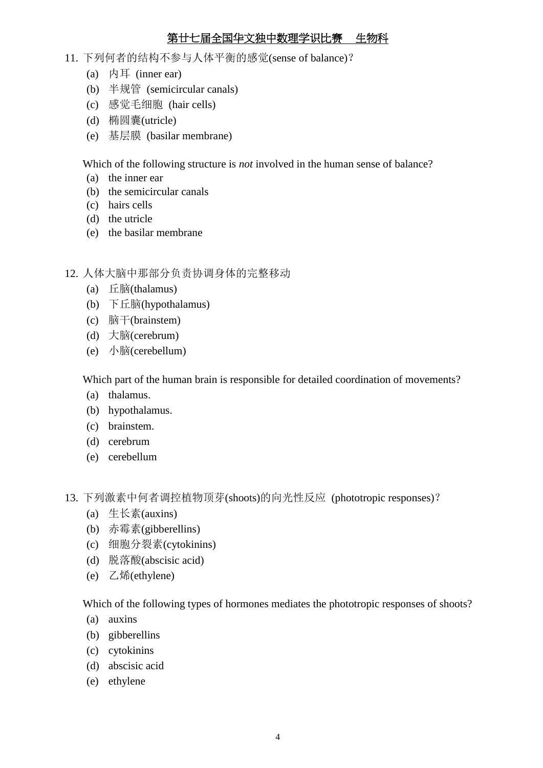- 11. 下列何者的结构不参与人体平衡的感觉(sense of balance)?
	- (a) 内耳 (inner ear)
	- (b) 半规管 (semicircular canals)
	- (c) 感觉毛细胞 (hair cells)
	- (d) 椭圆囊(utricle)
	- (e) 基层膜 (basilar membrane)

Which of the following structure is *not* involved in the human sense of balance?

- (a) the inner ear
- (b) the semicircular canals
- (c) hairs cells
- (d) the utricle
- (e) the basilar membrane
- 12. 人体大脑中那部分负责协调身体的完整移动
	- (a) 丘脑(thalamus)
	- (b) 下丘脑(hypothalamus)
	- (c) 脑干(brainstem)
	- (d) 大脑(cerebrum)
	- (e) 小脑(cerebellum)

Which part of the human brain is responsible for detailed coordination of movements?

- (a) thalamus.
- (b) hypothalamus.
- (c) brainstem.
- (d) cerebrum
- (e) cerebellum
- 13. 下列激素中何者调控植物顶芽(shoots)的向光性反应 (phototropic responses)?
	- (a) 生长素(auxins)
	- (b) 赤霉素(gibberellins)
	- (c) 细胞分裂素(cytokinins)
	- (d) 脱落酸(abscisic acid)
	- (e) 乙烯(ethylene)

Which of the following types of hormones mediates the phototropic responses of shoots?

- (a) auxins
- (b) gibberellins
- (c) cytokinins
- (d) abscisic acid
- (e) ethylene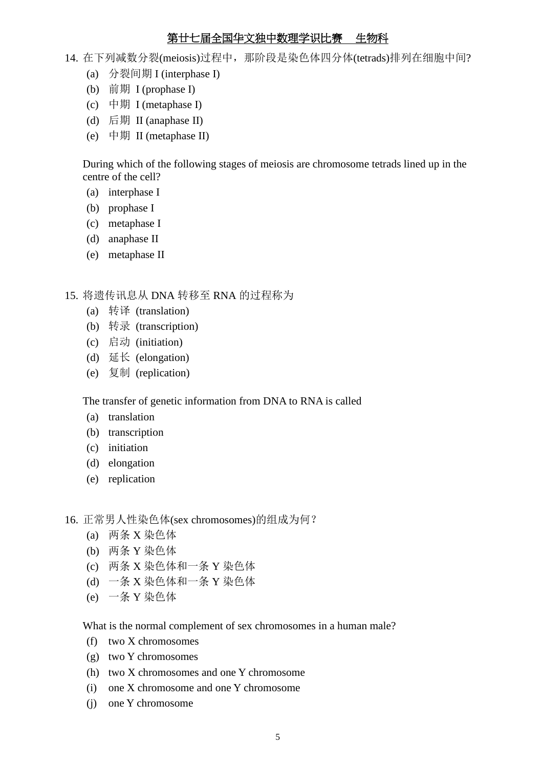- 14. 在下列减数分裂(meiosis)过程中, 那阶段是染色体四分体(tetrads)排列在细胞中间?
	- (a) 分裂间期 I (interphase I)
	- (b) 前期 I (prophase I)
	- (c) 中期 I (metaphase I)
	- (d) 后期 II (anaphase II)
	- (e) 中期 II (metaphase II)

During which of the following stages of meiosis are chromosome tetrads lined up in the centre of the cell?

- (a) interphase I
- (b) prophase I
- (c) metaphase I
- (d) anaphase II
- (e) metaphase II

15. 将遗传讯息从 DNA 转移至 RNA 的过程称为

- (a) 转译 (translation)
- (b) 转录 (transcription)
- (c) 启动 (initiation)
- (d) 延长 (elongation)
- (e) 复制 (replication)

The transfer of genetic information from DNA to RNA is called

- (a) translation
- (b) transcription
- (c) initiation
- (d) elongation
- (e) replication

16. 正常男人性染色体(sex chromosomes)的组成为何?

- (a) 两条 X 染色体
- (b) 两条 Y 染色体
- (c) 两条 X 染色体和一条 Y 染色体
- (d) 一条 X 染色体和一条 Y 染色体
- (e) 一条 Y 染色体

What is the normal complement of sex chromosomes in a human male?

- (f) two X chromosomes
- (g) two Y chromosomes
- (h) two X chromosomes and one Y chromosome
- (i) one X chromosome and one Y chromosome
- (j) one Y chromosome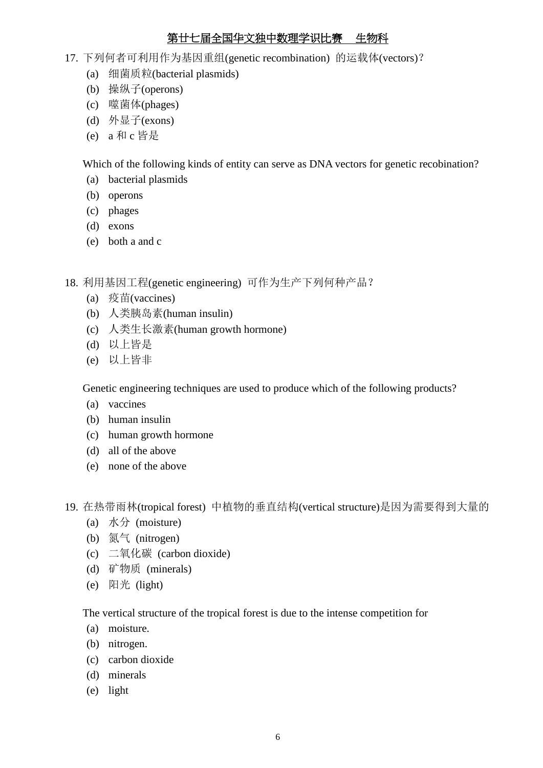- 17. 下列何者可利用作为基因重组(genetic recombination) 的运载体(vectors)?
	- (a) 细菌质粒(bacterial plasmids)
	- (b) 操纵子(operons)
	- (c) 噬菌体(phages)
	- (d) 外显子(exons)
	- (e) a 和 c 皆是

Which of the following kinds of entity can serve as DNA vectors for genetic recobination?

- (a) bacterial plasmids
- (b) operons
- (c) phages
- (d) exons
- (e) both a and c

18. 利用基因工程(genetic engineering) 可作为生产下列何种产品?

- (a) 疫苗(vaccines)
- (b) 人类胰岛素(human insulin)
- (c) 人类生长激素(human growth hormone)
- (d) 以上皆是
- (e) 以上皆非

Genetic engineering techniques are used to produce which of the following products?

- (a) vaccines
- (b) human insulin
- (c) human growth hormone
- (d) all of the above
- (e) none of the above
- 19. 在热带雨林(tropical forest) 中植物的垂直结构(vertical structure)是因为需要得到大量的
	- (a) 水分 (moisture)
	- (b) 氮气 (nitrogen)
	- (c) 二氧化碳 (carbon dioxide)
	- (d) 矿物质 (minerals)
	- (e) 阳光 (light)

The vertical structure of the tropical forest is due to the intense competition for

- (a) moisture.
- (b) nitrogen.
- (c) carbon dioxide
- (d) minerals
- (e) light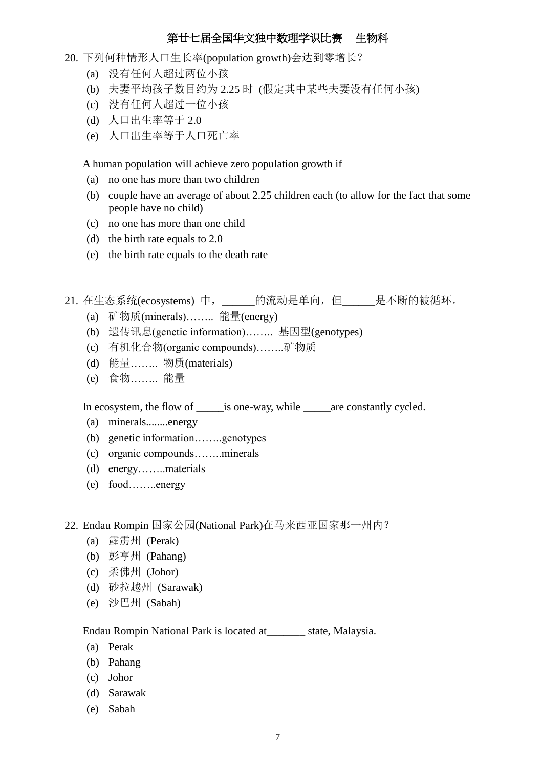- 20. 下列何种情形人口生长率(population growth)会达到零增长?
	- (a) 没有任何人超过两位小孩
	- (b) 夫妻平均孩子数目约为 2.25 时 (假定其中某些夫妻没有任何小孩)
	- (c) 没有任何人超过一位小孩
	- (d) 人口出生率等于 2.0
	- (e) 人口出生率等于人口死亡率

A human population will achieve zero population growth if

- (a) no one has more than two children
- (b) couple have an average of about 2.25 children each (to allow for the fact that some people have no child)
- (c) no one has more than one child
- (d) the birth rate equals to 2.0
- (e) the birth rate equals to the death rate
- 21. 在生态系统(ecosystems) 中, \_\_\_\_\_\_的流动是单向, 但\_\_\_\_\_\_是不断的被循环。
	- (a) 矿物质(minerals)…….. 能量(energy)
	- (b) 遗传讯息(genetic information)…….. 基因型(genotypes)
	- (c) 有机化合物(organic compounds)……..矿物质
	- (d) 能量…….. 物质(materials)
	- (e) 食物…….. 能量

In ecosystem, the flow of \_\_\_\_\_is one-way, while \_\_\_\_\_are constantly cycled.

- (a) minerals........energy
- (b) genetic information……..genotypes
- (c) organic compounds……..minerals
- (d) energy……..materials
- (e) food……..energy

22. Endau Rompin 国家公园(National Park)在马来西亚国家那一州内?

- (a) 霹雳州 (Perak)
- (b) 彭亨州 (Pahang)
- (c) 柔佛州 (Johor)
- (d) 砂拉越州 (Sarawak)
- (e) 沙巴州 (Sabah)

Endau Rompin National Park is located at\_\_\_\_\_\_\_ state, Malaysia.

- (a) Perak
- (b) Pahang
- (c) Johor
- (d) Sarawak
- (e) Sabah